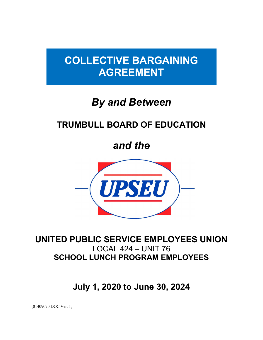# **COLLECTIVE BARGAINING AGREEMENT**

# *By and Between*

## **TRUMBULL BOARD OF EDUCATION**

*and the*



## **UNITED PUBLIC SERVICE EMPLOYEES UNION** LOCAL 424 – UNIT 76 **SCHOOL LUNCH PROGRAM EMPLOYEES**

**July 1, 2020 to June 30, 2024**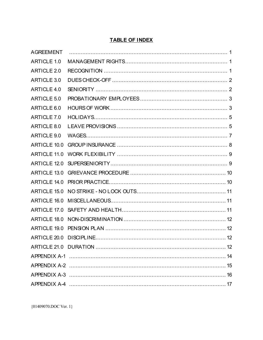#### **TABLE OF INDEX**

| <b>AGREEMENT</b>   |  |
|--------------------|--|
| <b>ARTICLE 1.0</b> |  |
| <b>ARTICLE 2.0</b> |  |
| ARTICLE 3.0        |  |
| ARTICLE 4.0        |  |
| ARTICLE 5.0        |  |
| ARTICLE 6.0        |  |
| ARTICLE 7.0        |  |
| ARTICLE 8.0        |  |
| ARTICLE 9.0        |  |
| ARTICLE 10.0       |  |
| ARTICLE 11.0       |  |
| ARTICLE 12.0       |  |
| ARTICLE 13.0       |  |
| ARTICLE 14.0       |  |
| ARTICLE 15.0       |  |
| ARTICLE 16.0       |  |
| ARTICLE 17.0       |  |
| ARTICLE 18.0       |  |
| ARTICLE 19.0       |  |
| ARTICLE 20.0       |  |
|                    |  |
|                    |  |
|                    |  |
|                    |  |
|                    |  |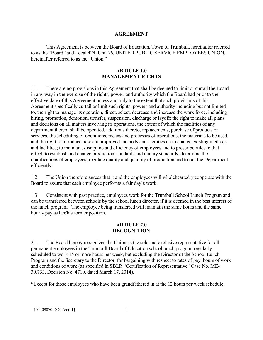#### **AGREEMENT**

<span id="page-2-0"></span>This Agreement is between the Board of Education, Town of Trumbull, hereinafter referred to as the "Board" and Local 424, Unit 76, UNITED PUBLIC SERVICE EMPLOYEES UNION, hereinafter referred to as the "Union."

#### **ARTICLE 1.0 MANAGEMENT RIGHTS**

<span id="page-2-1"></span>1.1 There are no provisions in this Agreement that shall be deemed to limit or curtail the Board in any way in the exercise of the rights, power, and authority which the Board had prior to the effective date of this Agreement unless and only to the extent that such provisions of this Agreement specifically curtail or limit such rights, powers and authority including but not limited to, the right to manage its operation, direct, select, decrease and increase the work force, including hiring, promotion, demotion, transfer, suspension, discharge or layoff; the right to make all plans and decisions on all matters involving its operations, the extent of which the facilities of any department thereof shall be operated, additions thereto, replacements, purchase of products or services, the scheduling of operations, means and processes of operations, the materials to be used, and the right to introduce new and improved methods and facilities an to change existing methods and facilities; to maintain, discipline and efficiency of employees and to prescribe rules to that effect; to establish and change production standards and quality standards, determine the qualifications of employees; regulate quality and quantity of production and to run the Department efficiently.

1.2 The Union therefore agrees that it and the employees will wholeheartedly cooperate with the Board to assure that each employee performs a fair day's work.

1.3 Consistent with past practice, employees work for the Trumbull School Lunch Program and can be transferred between schools by the school lunch director, if it is deemed in the best interest of the lunch program. The employee being transferred will maintain the same hours and the same hourly pay as her/his former position.

#### **ARTICLE 2.0 RECOGNITION**

<span id="page-2-2"></span>2.1 The Board hereby recognizes the Union as the sole and exclusive representative for all permanent employees in the Trumbull Board of Education school lunch program regularly scheduled to work 15 or more hours per week, but excluding the Director of the School Lunch Program and the Secretary to the Director, for bargaining with respect to rates of pay, hours of work and conditions of work (as specified in SBLR "Certification of Representative" Case No. ME-30.733, Decision No. 4710, dated March 17, 2014).

\*Except for those employees who have been grandfathered in at the 12 hours per week schedule.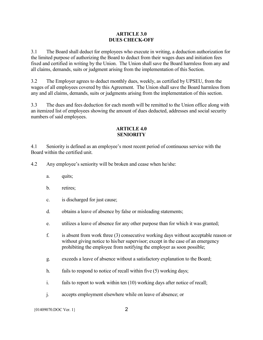#### **ARTICLE 3.0 DUES CHECK-OFF**

<span id="page-3-0"></span>3.1 The Board shall deduct for employees who execute in writing, a deduction authorization for the limited purpose of authorizing the Board to deduct from their wages dues and initiation fees fixed and certified in writing by the Union. The Union shall save the Board harmless from any and all claims, demands, suits or judgment arising from the implementation of this Section.

3.2 The Employer agrees to deduct monthly dues, weekly, as certified by UPSEU, from the wages of all employees covered by this Agreement. The Union shall save the Board harmless from any and all claims, demands, suits or judgments arising from the implementation of this section.

3.3 The dues and fees deduction for each month will be remitted to the Union office along with an itemized list of employees showing the amount of dues deducted, addresses and social security numbers of said employees.

#### **ARTICLE 4.0 SENIORITY**

<span id="page-3-1"></span>4.1 Seniority is defined as an employee's most recent period of continuous service with the Board within the certified unit.

4.2 Any employee's seniority will be broken and cease when he/she:

- a. quits;
- b. retires;
- c. is discharged for just cause;
- d. obtains a leave of absence by false or misleading statements;
- e. utilizes a leave of absence for any other purpose than for which it was granted;
- f. is absent from work three (3) consecutive working days without acceptable reason or without giving notice to his/her supervisor; except in the case of an emergency prohibiting the employee from notifying the employer as soon possible;
- g. exceeds a leave of absence without a satisfactory explanation to the Board;
- h. fails to respond to notice of recall within five (5) working days;
- i. fails to report to work within ten (10) working days after notice of recall;
- j. accepts employment elsewhere while on leave of absence; or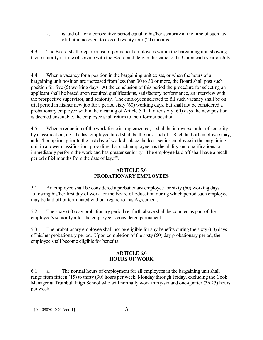k. is laid off for a consecutive period equal to his/her seniority at the time of such layoff but in no event to exceed twenty four (24) months.

4.3 The Board shall prepare a list of permanent employees within the bargaining unit showing their seniority in time of service with the Board and deliver the same to the Union each year on July 1.

4.4 When a vacancy for a position in the bargaining unit exists, or when the hours of a bargaining unit position are increased from less than 30 to 30 or more, the Board shall post such position for five (5) working days. At the conclusion of this period the procedure for selecting an applicant shall be based upon required qualifications, satisfactory performance, an interview with the prospective supervisor, and seniority. The employees selected to fill such vacancy shall be on trial period in his/her new job for a period sixty (60) working days, but shall not be considered a probationary employee within the meaning of Article 5.0. If after sixty (60) days the new position is deemed unsuitable, the employee shall return to their former position.

4.5 When a reduction of the work force is implemented, it shall be in reverse order of seniority by classification, i.e., the last employee hired shall be the first laid off. Such laid off employee may, at his/her option, prior to the last day of work displace the least senior employee in the bargaining unit in a lower classification, providing that such employee has the ability and qualifications to immediately perform the work and has greater seniority. The employee laid off shall have a recall period of 24 months from the date of layoff.

#### **ARTICLE 5.0 PROBATIONARY EMPLOYEES**

<span id="page-4-0"></span>5.1 An employee shall be considered a probationary employee for sixty (60) working days following his/her first day of work for the Board of Education during which period such employee may be laid off or terminated without regard to this Agreement.

5.2 The sixty (60) day probationary period set forth above shall be counted as part of the employee's seniority after the employee is considered permanent.

5.3 The probationary employee shall not be eligible for any benefits during the sixty (60) days of his/her probationary period. Upon completion of the sixty (60) day probationary period, the employee shall become eligible for benefits.

#### **ARTICLE 6.0 HOURS OF WORK**

<span id="page-4-1"></span>6.1 a. The normal hours of employment for all employees in the bargaining unit shall range from fifteen (15) to thirty (30) hours per week, Monday through Friday, excluding the Cook Manager at Trumbull High School who will normally work thirty-six and one-quarter (36.25) hours per week.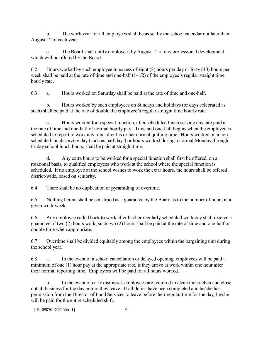b. The work year for all employees shall be as set by the school calendar not later than August  $1<sup>st</sup>$  of each year.

The Board shall notify employees by August  $1<sup>st</sup>$  of any professional development which will be offered by the Board.

6.2 Hours worked by such employee in excess of eight (8) hours per day or forty (40) hours per week shall be paid at the rate of time and one-half (1-1/2) of the employee's regular straight time hourly rate.

6.3 a. Hours worked on Saturday shall be paid at the rate of time and one-half.

b. Hours worked by such employees on Sundays and holidays (or days celebrated as such) shall be paid at the rate of double the employee's regular straight time hourly rate.

c. Hours worked for a special function, after scheduled lunch serving day, are paid at the rate of time and one-half of normal hourly pay. Time and one-half begins when the employee is scheduled to report to work any time after his or her normal quitting time. Hours worked on a nonscheduled lunch serving day (such as half days) or hours worked during a normal Monday through Friday school lunch hours, shall be paid at straight time.

d. Any extra hours to be worked for a special function shall first be offered, on a rotational basis, to qualified employees who work at the school where the special function is scheduled. If no employee at the school wishes to work the extra hours, the hours shall be offered district-wide, based on seniority.

6.4 There shall be no duplication or pyramiding of overtime.

6.5 Nothing herein shall be construed as a guarantee by the Board as to the number of hours in a given work week.

6.6 Any employee called back to work after his/her regularly scheduled work day shall receive a guarantee of two (2) hours work, such two (2) hours shall be paid at the rate of time and one-half or double time when appropriate.

6.7 Overtime shall be divided equitably among the employees within the bargaining unit during the school year.

6.8 a. In the event of a school cancellation or delayed opening, employees will be paid a minimum of one (1) hour pay at the appropriate rate, if they arrive at work within one hour after their normal reporting time. Employees will be paid for all hours worked.

b. In the event of early dismissal, employees are required to clean the kitchen and close out all business for the day before they leave. If all duties have been completed and he/she has permission from the Director of Food Services to leave before their regular time for the day, he/she will be paid for the entire scheduled shift.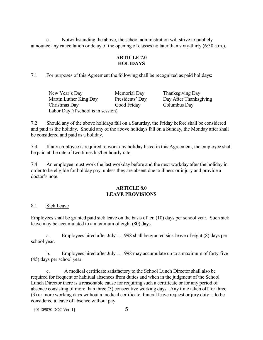<span id="page-6-0"></span>c. Notwithstanding the above, the school administration will strive to publicly announce any cancellation or delay of the opening of classes no later than sixty-thirty (6:30 a.m.).

#### **ARTICLE 7.0 HOLIDAYS**

7.1 For purposes of this Agreement the following shall be recognized as paid holidays:

New Year's Day Memorial Day Thanksgiving Day Martin Luther King Day Presidents' Day Day After Thanksgiving Christmas Day Good Friday Columbus Day Labor Day (if school is in session)

7.2 Should any of the above holidays fall on a Saturday, the Friday before shall be considered and paid as the holiday. Should any of the above holidays fall on a Sunday, the Monday after shall be considered and paid as a holiday.

7.3 If any employee is required to work any holiday listed in this Agreement, the employee shall be paid at the rate of two times his/her hourly rate.

7.4 An employee must work the last workday before and the next workday after the holiday in order to be eligible for holiday pay, unless they are absent due to illness or injury and provide a doctor's note.

#### **ARTICLE 8.0 LEAVE PROVISIONS**

#### <span id="page-6-1"></span>8.1 Sick Leave

Employees shall be granted paid sick leave on the basis of ten (10) days per school year. Such sick leave may be accumulated to a maximum of eight (80) days.

a. Employees hired after July 1, 1998 shall be granted sick leave of eight (8) days per school year.

b. Employees hired after July 1, 1998 may accumulate up to a maximum of forty-five (45) days per school year.

c. A medical certificate satisfactory to the School Lunch Director shall also be required for frequent or habitual absences from duties and when in the judgment of the School Lunch Director there is a reasonable cause for requiring such a certificate or for any period of absence consisting of more than three (3) consecutive working days. Any time taken off for three (3) or more working days without a medical certificate, funeral leave request or jury duty is to be considered a leave of absence without pay.

 ${01409070.}\text{DOC Ver.}$  1} 5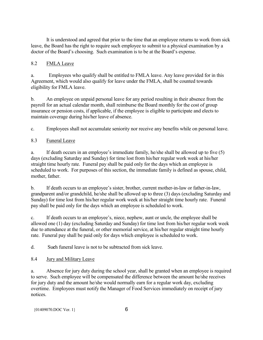It is understood and agreed that prior to the time that an employee returns to work from sick leave, the Board has the right to require such employee to submit to a physical examination by a doctor of the Board's choosing. Such examination is to be at the Board's expense.

#### 8.2 FMLA Leave

a. Employees who qualify shall be entitled to FMLA leave. Any leave provided for in this Agreement, which would also qualify for leave under the FMLA, shall be counted towards eligibility for FMLA leave.

b. An employee on unpaid personal leave for any period resulting in their absence from the payroll for an actual calendar month, shall reimburse the Board monthly for the cost of group insurance or pension costs, if applicable, if the employee is eligible to participate and elects to maintain coverage during his/her leave of absence.

c. Employees shall not accumulate seniority nor receive any benefits while on personal leave.

#### 8.3 Funeral Leave

a. If death occurs in an employee's immediate family, he/she shall be allowed up to five (5) days (excluding Saturday and Sunday) for time lost from his/her regular work week at his/her straight time hourly rate. Funeral pay shall be paid only for the days which an employee is scheduled to work. For purposes of this section, the immediate family is defined as spouse, child, mother, father.

b. If death occurs to an employee's sister, brother, current mother-in-law or father-in-law, grandparent and/or grandchild, he/she shall be allowed up to three (3) days (excluding Saturday and Sunday) for time lost from his/her regular work week at his/her straight time hourly rate. Funeral pay shall be paid only for the days which an employee is scheduled to work.

c. If death occurs to an employee's, niece, nephew, aunt or uncle, the employee shall be allowed one (1) day (excluding Saturday and Sunday) for time lost from his/her regular work week due to attendance at the funeral, or other memorial service, at his/her regular straight time hourly rate. Funeral pay shall be paid only for days which employee is scheduled to work.

d. Su**c**h funeral leave is not to be subtracted from sick leave.

#### 8.4 Jury and Military Leave

a. Absence for jury duty during the school year, shall be granted when an employee is required to serve. Such employee will be compensated the difference between the amount he/she receives for jury duty and the amount he/she would normally earn for a regular work day, excluding overtime. Employees must notify the Manager of Food Services immediately on receipt of jury notices.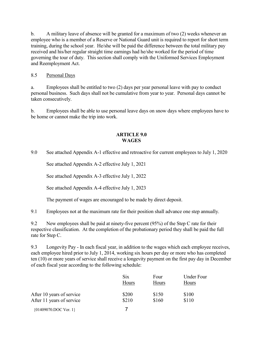b. A military leave of absence will be granted for a maximum of two (2) weeks whenever an employee who is a member of a Reserve or National Guard unit is required to report for short term training, during the school year. He/she will be paid the difference between the total military pay received and his/her regular straight time earnings had he/she worked for the period of time governing the tour of duty. This section shall comply with the Uniformed Services Employment and Reemployment Act.

#### 8.5 Personal Days

a. Employees shall be entitled to two (2) days per year personal leave with pay to conduct personal business. Such days shall not be cumulative from year to year. Personal days cannot be taken consecutively.

b. Employees shall be able to use personal leave days on snow days where employees have to be home or cannot make the trip into work.

#### **ARTICLE 9.0 WAGES**

<span id="page-8-0"></span>9.0 See attached Appendix A-1 effective and retroactive for current employees to July 1, 2020

See attached Appendix A-2 effective July 1, 2021

See attached Appendix A-3 effective July 1, 2022

See attached Appendix A-4 effective July 1, 2023

The payment of wages are encouraged to be made by direct deposit.

9.1 Employees not at the maximum rate for their position shall advance one step annually.

9.2 New employees shall be paid at ninety-five percent (95%) of the Step C rate for their respective classification. At the completion of the probationary period they shall be paid the full rate for Step C.

9.3 Longevity Pay - In each fiscal year, in addition to the wages which each employee receives, each employee hired prior to July 1, 2014, working six hours per day or more who has completed ten (10) or more years of service shall receive a longevity payment on the first pay day in December of each fiscal year according to the following schedule:

|                           | <b>Six</b> | Four  | <b>Under Four</b> |
|---------------------------|------------|-------|-------------------|
|                           | Hours      | Hours | Hours             |
| After 10 years of service | \$200      | \$150 | \$100             |
| After 11 years of service | \$210      | \$160 | \$110             |
|                           |            |       |                   |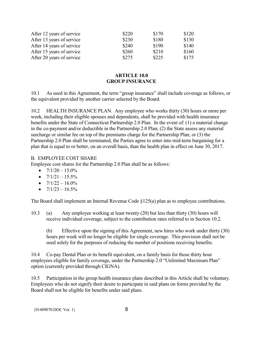| After 12 years of service | \$220 | \$170 | \$120 |
|---------------------------|-------|-------|-------|
| After 13 years of service | \$230 | \$180 | \$130 |
| After 14 years of service | \$240 | \$190 | \$140 |
| After 15 years of service | \$260 | \$210 | \$160 |
| After 20 years of service | \$275 | \$225 | \$175 |

#### **ARTICLE 10.0 GROUP INSURANCE**

<span id="page-9-0"></span>10.1 As used in this Agreement, the term "group insurance" shall include coverage as follows, or the equivalent provided by another carrier selected by the Board.

10.2 HEALTH INSURANCE PLAN. Any employee who works thirty (30) hours or more per week, including their eligible spouses and dependents, shall be provided with health insurance benefits under the State of Connecticut Partnership 2.0 Plan. In the event of: (1) a material change in the co-payment and/or deductible in the Partnership 2.0 Plan; (2) the State assess any material surcharge or similar fee on top of the premiums charge for the Partnership Plan; or (3) the Partnership 2.0 Plan shall be terminated, the Parties agree to enter into mid-term bargaining for a plan that is equal to or better, on an overall basis, than the health plan in effect on June 30, 2017.

#### B. EMPLOYEE COST SHARE

Employee cost shares for the Partnership 2.0 Plan shall be as follows:

- $7/1/20 15.0\%$
- $7/1/21 15.5\%$
- $7/1/22 16.0\%$
- $7/1/23 16.5\%$

The Board shall implement an Internal Revenue Code §125(a) plan as to employee contributions.

10.3 (a) Any employee working at least twenty (20) but less than thirty (30) hours will receive individual coverage, subject to the contribution rates referred to in Section 10.2.

(b) Effective upon the signing of this Agreement, new hires who work under thirty (30) hours per week will no longer be eligible for single coverage. This provision shall not be used solely for the purposes of reducing the number of positions receiving benefits.

10.4 Co-pay Dental Plan or its benefit equivalent, on a family basis for those thirty hour employees eligible for family coverage, under the Partnership 2.0 "Unlimited Maximum Plan" option (currently provided through CIGNA).

10.5 Participation in the group health insurance plans described in this Article shall be voluntary. Employees who do not signify their desire to participate in said plans on forms provided by the Board shall not be eligible for benefits under said plans.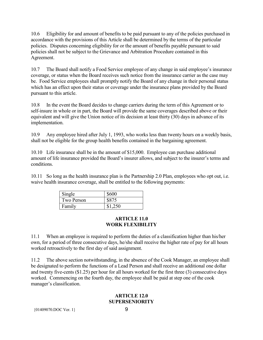10.6 Eligibility for and amount of benefits to be paid pursuant to any of the policies purchased in accordance with the provisions of this Article shall be determined by the terms of the particular policies. Disputes concerning eligibility for or the amount of benefits payable pursuant to said policies shall not be subject to the Grievance and Arbitration Procedure contained in this Agreement.

10.7 The Board shall notify a Food Service employee of any change in said employee's insurance coverage, or status when the Board receives such notice from the insurance carrier as the case may be. Food Service employees shall promptly notify the Board of any change in their personal status which has an effect upon their status or coverage under the insurance plans provided by the Board pursuant to this article.

10.8 In the event the Board decides to change carriers during the term of this Agreement or to self-insure in whole or in part, the Board will provide the same coverages described above or their equivalent and will give the Union notice of its decision at least thirty (30) days in advance of its implementation.

10.9 Any employee hired after July 1, 1993, who works less than twenty hours on a weekly basis, shall not be eligible for the group health benefits contained in the bargaining agreement.

10.10 Life insurance shall be in the amount of \$15,000. Employee can purchase additional amount of life insurance provided the Board's insurer allows, and subject to the insurer's terms and conditions.

10.11 So long as the health insurance plan is the Partnership 2.0 Plan, employees who opt out, i.e. waive health insurance coverage, shall be entitled to the following payments:

| Single     | \$600   |
|------------|---------|
| Two Person | \$875   |
| Familv     | \$1.250 |

#### **ARTICLE 11.0 WORK FLEXIBILITY**

<span id="page-10-0"></span>11.1 When an employee is required to perform the duties of a classification higher than his/her own, for a period of three consecutive days, he/she shall receive the higher rate of pay for all hours worked retroactively to the first day of said assignment.

<span id="page-10-1"></span>11.2 The above section notwithstanding, in the absence of the Cook Manager, an employee shall be designated to perform the functions of a Lead Person and shall receive an additional one dollar and twenty five-cents (\$1.25) per hour for all hours worked for the first three (3) consecutive days worked. Commencing on the fourth day, the employee shall be paid at step one of the cook manager's classification.

#### **ARTICLE 12.0 SUPERSENIORITY**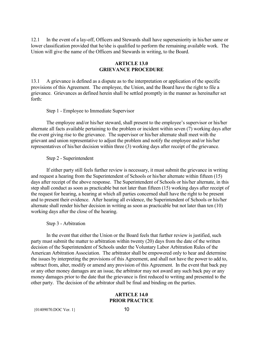12.1 In the event of a lay-off, Officers and Stewards shall have superseniority in his/her same or lower classification provided that he/she is qualified to perform the remaining available work. The Union will give the name of the Officers and Stewards in writing, to the Board.

#### **ARTICLE 13.0 GRIEVANCE PROCEDURE**

<span id="page-11-0"></span>13.1 A grievance is defined as a dispute as to the interpretation or application of the specific provisions of this Agreement. The employee, the Union, and the Board have the right to file a grievance. Grievances as defined herein shall be settled promptly in the manner as hereinafter set forth:

Step 1 - Employee to Immediate Supervisor

The employee and/or his/her steward, shall present to the employee's supervisor or his/her alternate all facts available pertaining to the problem or incident within seven (7) working days after the event giving rise to the grievance. The supervisor or his/her alternate shall meet with the grievant and union representative to adjust the problem and notify the employee and/or his/her representatives of his/her decision within three (3) working days after receipt of the grievance.

Step 2 - Superintendent

If either party still feels further review is necessary, it must submit the grievance in writing and request a hearing from the Superintendent of Schools or his/her alternate within fifteen (15) days after receipt of the above response. The Superintendent of Schools or his/her alternate, in this step shall conduct as soon as practicable but not later than fifteen (15) working days after receipt of the request for hearing, a hearing at which all parties concerned shall have the right to be present and to present their evidence. After hearing all evidence, the Superintendent of Schools or his/her alternate shall render his/her decision in writing as soon as practicable but not later than ten (10) working days after the close of the hearing.

Step 3 - Arbitration

In the event that either the Union or the Board feels that further review is justified, such party must submit the matter to arbitration within twenty (20) days from the date of the written decision of the Superintendent of Schools under the Voluntary Labor Arbitration Rules of the American Arbitration Association. The arbitrator shall be empowered only to hear and determine the issues by interpreting the provisions of this Agreement, and shall not have the power to add to, subtract from, alter, modify or amend any provision of this Agreement. In the event that back pay or any other money damages are an issue, the arbitrator may not award any such back pay or any money damages prior to the date that the grievance is first reduced to writing and presented to the other party. The decision of the arbitrator shall be final and binding on the parties.

#### **ARTICLE 14.0 PRIOR PRACTICE**

<span id="page-11-1"></span> ${01409070. \text{DOC Ver. 1}}$  10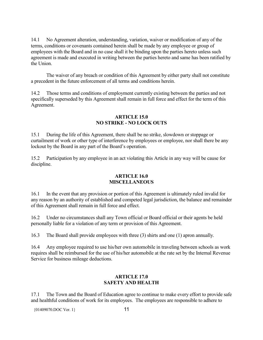14.1 No Agreement alteration, understanding, variation, waiver or modification of any of the terms, conditions or covenants contained herein shall be made by any employee or group of employees with the Board and in no case shall it be binding upon the parties hereto unless such agreement is made and executed in writing between the parties hereto and same has been ratified by the Union.

The waiver of any breach or condition of this Agreement by either party shall not constitute a precedent in the future enforcement of all terms and conditions herein.

14.2 Those terms and conditions of employment currently existing between the parties and not specifically superseded by this Agreement shall remain in full force and effect for the term of this Agreement.

#### **ARTICLE 15.0 NO STRIKE - NO LOCK OUTS**

<span id="page-12-0"></span>15.1 During the life of this Agreement, there shall be no strike, slowdown or stoppage or curtailment of work or other type of interference by employees or employee, nor shall there be any lockout by the Board in any part of the Board's operation.

<span id="page-12-1"></span>15.2 Participation by any employee in an act violating this Article in any way will be cause for discipline.

#### **ARTICLE 16.0 MISCELLANEOUS**

16.1 In the event that any provision or portion of this Agreement is ultimately ruled invalid for any reason by an authority of established and competed legal jurisdiction, the balance and remainder of this Agreement shall remain in full force and effect.

16.2 Under no circumstances shall any Town official or Board official or their agents be held personally liable for a violation of any term or provision of this Agreement.

16.3 The Board shall provide employees with three (3) shirts and one (1) apron annually.

16.4 Any employee required to use his/her own automobile in traveling between schools as work requires shall be reimbursed for the use of his/her automobile at the rate set by the Internal Revenue Service for business mileage deductions.

#### **ARTICLE 17.0 SAFETY AND HEALTH**

<span id="page-12-2"></span>17.1 The Town and the Board of Education agree to continue to make every effort to provide safe and healthful conditions of work for its employees. The employees are responsible to adhere to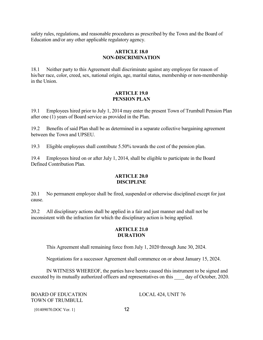<span id="page-13-0"></span>safety rules, regulations, and reasonable procedures as prescribed by the Town and the Board of Education and/or any other applicable regulatory agency.

#### **ARTICLE 18.0 NON-DISCRIMINATION**

18.1 Neither party to this Agreement shall discriminate against any employee for reason of his/her race, color, creed, sex, national origin, age, marital status, membership or non-membership in the Union.

#### **ARTICLE 19.0 PENSION PLAN**

<span id="page-13-1"></span>19.1 Employees hired prior to July 1, 2014 may enter the present Town of Trumbull Pension Plan after one (1) years of Board service as provided in the Plan.

19.2 Benefits of said Plan shall be as determined in a separate collective bargaining agreement between the Town and UPSEU.

19.3 Eligible employees shall contribute 5.50% towards the cost of the pension plan.

<span id="page-13-2"></span>19.4 Employees hired on or after July 1, 2014, shall be eligible to participate in the Board Defined Contribution Plan.

#### **ARTICLE 20.0 DISCIPLINE**

20.1 No permanent employee shall be fired, suspended or otherwise disciplined except for just cause.

<span id="page-13-3"></span>20.2 All disciplinary actions shall be applied in a fair and just manner and shall not be inconsistent with the infraction for which the disciplinary action is being applied.

#### **ARTICLE 21.0 DURATION**

This Agreement shall remaining force from July 1, 2020 through June 30, 2024.

Negotiations for a successor Agreement shall commence on or about January 15, 2024.

IN WITNESS WHEREOF, the parties have hereto caused this instrument to be signed and executed by its mutually authorized officers and representatives on this day of October, 2020.

BOARD OF EDUCATION LOCAL 424, UNIT 76 TOWN OF TRUMBULL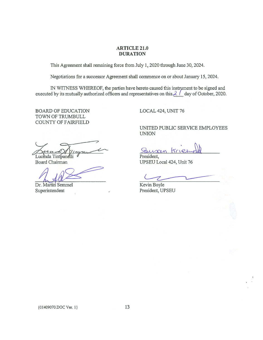#### ARTICLE 21.0 DURATION

This Agreement shall remaining force from July 1, 2020 through June 30, 2024.

Negotiations for a successor Agreement shall commence on or about January 15, 2024.

IN WITNESS WHEREOF, the parties have hereto caused this instrument to be signed and executed by its mutually authorized officers and representatives on this  $2 /$  day of October, 2020.

BOARD OF EDUCATION LOCAL 424, UNIT 76 TOWN OF TRUMBULL COUNTY OF FAIRFIELD

 $\frac{\sqrt{u}u}{\sqrt{u}}$  Lucinda Timpanelli  $\frac{\sqrt{u}}{\sqrt{u}}$  President,<br>Board Chairman UPSEU Local

Dr. Martin Semmel Kevin Boyle Superintendent President, UPSEU

UNITED PUBLIC SERVICE EMPLOYEES UNION

triel

UPSEU Local 424, Unit 76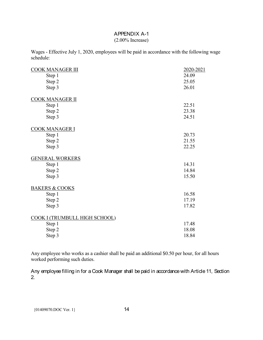#### (2.00% Increase)

<span id="page-15-0"></span>Wages - Effective July 1, 2020, employees will be paid in accordance with the following wage schedule:

| <b>COOK MANAGER III</b>       | 2020-2021 |
|-------------------------------|-----------|
| Step 1                        | 24.09     |
| Step 2                        | 25.05     |
| Step 3                        | 26.01     |
| COOK MANAGER II               |           |
| Step 1                        | 22.51     |
| Step 2                        | 23.38     |
| Step 3                        | 24.51     |
| COOK MANAGER I                |           |
| Step 1                        | 20.73     |
| Step 2                        | 21.55     |
| Step 3                        | 22.25     |
| <b>GENERAL WORKERS</b>        |           |
| Step 1                        | 14.31     |
| Step 2                        | 14.84     |
| Step 3                        | 15.50     |
| <b>BAKERS &amp; COOKS</b>     |           |
| Step 1                        | 16.58     |
| Step 2                        | 17.19     |
| Step 3                        | 17.82     |
| COOK I (TRUMBULL HIGH SCHOOL) |           |
| Step 1                        | 17.48     |
| Step 2                        | 18.08     |
| Step 3                        | 18.84     |

Any employee who works as a cashier shall be paid an additional \$0.50 per hour, for all hours worked performing such duties.

Any employee filling in for a Cook Manager shall be paid in accordance with Article 11, Section 2.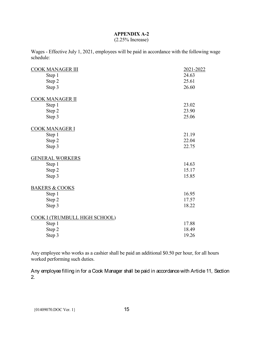#### (2.25% Increase)

<span id="page-16-0"></span>Wages - Effective July 1, 2021, employees will be paid in accordance with the following wage schedule:

| <b>COOK MANAGER III</b>       | 2021-2022 |
|-------------------------------|-----------|
| Step 1                        | 24.63     |
| Step 2                        | 25.61     |
| Step 3                        | 26.60     |
| <b>COOK MANAGER II</b>        |           |
| Step 1                        | 23.02     |
| Step 2                        | 23.90     |
| Step 3                        | 25.06     |
| <b>COOK MANAGER I</b>         |           |
| Step 1                        | 21.19     |
| Step 2                        | 22.04     |
| Step 3                        | 22.75     |
| <b>GENERAL WORKERS</b>        |           |
| Step 1                        | 14.63     |
| Step 2                        | 15.17     |
| Step 3                        | 15.85     |
| <b>BAKERS &amp; COOKS</b>     |           |
| Step 1                        | 16.95     |
| Step 2                        | 17.57     |
| Step 3                        | 18.22     |
| COOK I (TRUMBULL HIGH SCHOOL) |           |
| Step 1                        | 17.88     |
| Step 2                        | 18.49     |
| Step 3                        | 19.26     |

Any employee who works as a cashier shall be paid an additional \$0.50 per hour, for all hours worked performing such duties.

Any employee filling in for a Cook Manager shall be paid in accordance with Article 11, Section 2.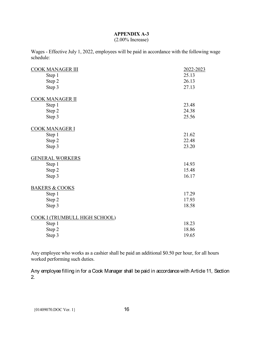#### (2.00% Increase)

<span id="page-17-0"></span>Wages - Effective July 1, 2022, employees will be paid in accordance with the following wage schedule:

| <b>COOK MANAGER III</b>       | 2022-2023 |
|-------------------------------|-----------|
| Step 1                        | 25.13     |
| Step 2                        | 26.13     |
| Step 3                        | 27.13     |
| <b>COOK MANAGER II</b>        |           |
| Step 1                        | 23.48     |
| Step 2                        | 24.38     |
| Step 3                        | 25.56     |
| <u>COOK MANAGER I</u>         |           |
| Step 1                        | 21.62     |
| Step 2                        | 22.48     |
| Step 3                        | 23.20     |
| <b>GENERAL WORKERS</b>        |           |
| Step 1                        | 14.93     |
| Step 2                        | 15.48     |
| Step 3                        | 16.17     |
| <b>BAKERS &amp; COOKS</b>     |           |
| Step 1                        | 17.29     |
| Step 2                        | 17.93     |
| Step 3                        | 18.58     |
| COOK I (TRUMBULL HIGH SCHOOL) |           |
| Step 1                        | 18.23     |
| Step 2                        | 18.86     |
| Step 3                        | 19.65     |

Any employee who works as a cashier shall be paid an additional \$0.50 per hour, for all hours worked performing such duties.

Any employee filling in for a Cook Manager shall be paid in accordance with Article 11, Section 2.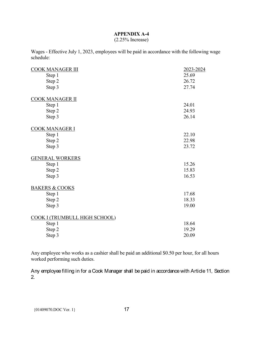#### (2.25% Increase)

<span id="page-18-0"></span>Wages - Effective July 1, 2023, employees will be paid in accordance with the following wage schedule:

| <b>COOK MANAGER III</b>       | 2023-2024 |
|-------------------------------|-----------|
| Step 1                        | 25.69     |
| Step 2                        | 26.72     |
| Step 3                        | 27.74     |
| <b>COOK MANAGER II</b>        |           |
| Step 1                        | 24.01     |
| Step 2                        | 24.93     |
| Step 3                        | 26.14     |
| <b>COOK MANAGER I</b>         |           |
| Step 1                        | 22.10     |
| Step 2                        | 22.98     |
| Step 3                        | 23.72     |
| <b>GENERAL WORKERS</b>        |           |
| Step 1                        | 15.26     |
| Step 2                        | 15.83     |
| Step 3                        | 16.53     |
| <b>BAKERS &amp; COOKS</b>     |           |
| Step 1                        | 17.68     |
| Step 2                        | 18.33     |
| Step 3                        | 19.00     |
| COOK I (TRUMBULL HIGH SCHOOL) |           |
| Step 1                        | 18.64     |
| Step 2                        | 19.29     |
| Step 3                        | 20.09     |

Any employee who works as a cashier shall be paid an additional \$0.50 per hour, for all hours worked performing such duties.

Any employee filling in for a Cook Manager shall be paid in accordance with Article 11, Section 2.